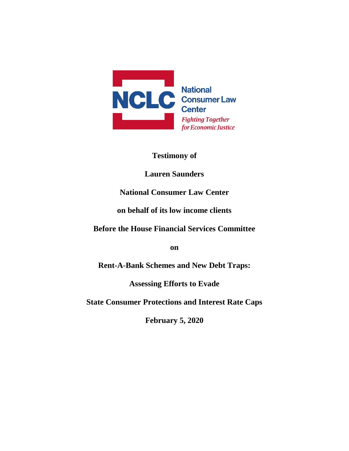

**Testimony of** 

**Lauren Saunders**

## **National Consumer Law Center**

#### **on behalf of its low income clients**

**Before the House Financial Services Committee**

**on**

**Rent-A-Bank Schemes and New Debt Traps:** 

**Assessing Efforts to Evade** 

**State Consumer Protections and Interest Rate Caps**

**February 5, 2020**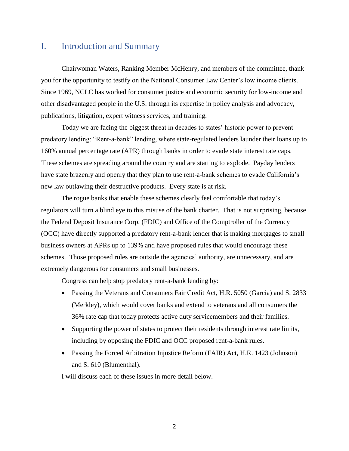#### I. Introduction and Summary

Chairwoman Waters, Ranking Member McHenry, and members of the committee, thank you for the opportunity to testify on the National Consumer Law Center's low income clients. Since 1969, NCLC has worked for consumer justice and economic security for low-income and other disadvantaged people in the U.S. through its expertise in policy analysis and advocacy, publications, litigation, expert witness services, and training.

Today we are facing the biggest threat in decades to states' historic power to prevent predatory lending: "Rent-a-bank" lending, where state-regulated lenders launder their loans up to 160% annual percentage rate (APR) through banks in order to evade state interest rate caps. These schemes are spreading around the country and are starting to explode. Payday lenders have state brazenly and openly that they plan to use rent-a-bank schemes to evade California's new law outlawing their destructive products. Every state is at risk.

The rogue banks that enable these schemes clearly feel comfortable that today's regulators will turn a blind eye to this misuse of the bank charter. That is not surprising, because the Federal Deposit Insurance Corp. (FDIC) and Office of the Comptroller of the Currency (OCC) have directly supported a predatory rent-a-bank lender that is making mortgages to small business owners at APRs up to 139% and have proposed rules that would encourage these schemes. Those proposed rules are outside the agencies' authority, are unnecessary, and are extremely dangerous for consumers and small businesses.

Congress can help stop predatory rent-a-bank lending by:

- Passing the Veterans and Consumers Fair Credit Act, H.R. 5050 (Garcia) and S. 2833 (Merkley), which would cover banks and extend to veterans and all consumers the 36% rate cap that today protects active duty servicemembers and their families.
- Supporting the power of states to protect their residents through interest rate limits, including by opposing the FDIC and OCC proposed rent-a-bank rules.
- Passing the Forced Arbitration Injustice Reform (FAIR) Act, H.R. 1423 (Johnson) and S. 610 (Blumenthal).

I will discuss each of these issues in more detail below.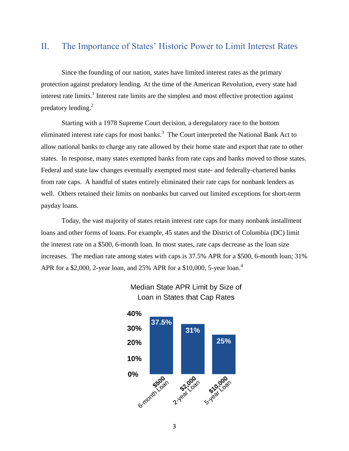#### II. The Importance of States' Historic Power to Limit Interest Rates

Since the founding of our nation, states have limited interest rates as the primary protection against predatory lending. At the time of the American Revolution, every state had interest rate limits.<sup>1</sup> Interest rate limits are the simplest and most effective protection against predatory lending.<sup>2</sup>

Starting with a 1978 Supreme Court decision, a deregulatory race to the bottom eliminated interest rate caps for most banks. $3$  The Court interpreted the National Bank Act to allow national banks to charge any rate allowed by their home state and export that rate to other states. In response, many states exempted banks from rate caps and banks moved to those states. Federal and state law changes eventually exempted most state- and federally-chartered banks from rate caps. A handful of states entirely eliminated their rate caps for nonbank lenders as well. Others retained their limits on nonbanks but carved out limited exceptions for short-term payday loans.

Today, the vast majority of states retain interest rate caps for many nonbank installment loans and other forms of loans. For example, 45 states and the District of Columbia (DC) limit the interest rate on a \$500, 6-month loan. In most states, rate caps decrease as the loan size increases. The median rate among states with caps is 37.5% APR for a \$500, 6-month loan; 31% APR for a \$2,000, 2-year loan, and 25% APR for a \$10,000, 5-year loan.<sup>4</sup>



Median State APR Limit by Size of Loan in States that Cap Rates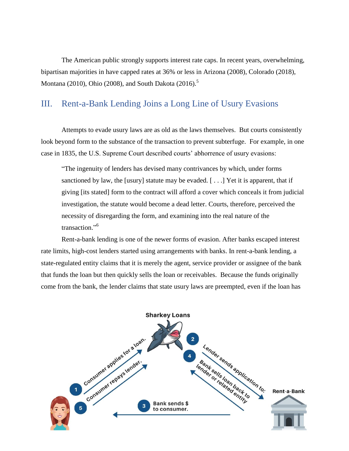The American public strongly supports interest rate caps. In recent years, overwhelming, bipartisan majorities in have capped rates at 36% or less in Arizona (2008), Colorado (2018), Montana (2010), Ohio (2008), and South Dakota (2016).<sup>5</sup>

## III. Rent-a-Bank Lending Joins a Long Line of Usury Evasions

Attempts to evade usury laws are as old as the laws themselves. But courts consistently look beyond form to the substance of the transaction to prevent subterfuge. For example, in one case in 1835, the U.S. Supreme Court described courts' abhorrence of usury evasions:

―The ingenuity of lenders has devised many contrivances by which, under forms sanctioned by law, the [usury] statute may be evaded.  $[\ldots]$  Yet it is apparent, that if giving [its stated] form to the contract will afford a cover which conceals it from judicial investigation, the statute would become a dead letter. Courts, therefore, perceived the necessity of disregarding the form, and examining into the real nature of the transaction."<sup>6</sup>

Rent-a-bank lending is one of the newer forms of evasion. After banks escaped interest rate limits, high-cost lenders started using arrangements with banks. In rent-a-bank lending, a state-regulated entity claims that it is merely the agent, service provider or assignee of the bank that funds the loan but then quickly sells the loan or receivables. Because the funds originally come from the bank, the lender claims that state usury laws are preempted, even if the loan has

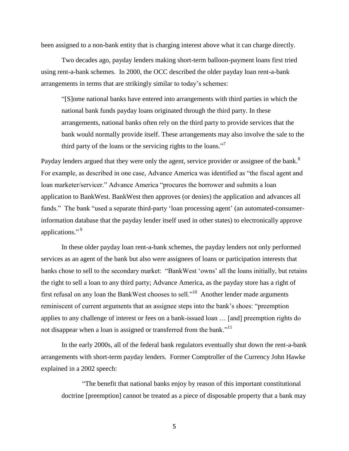been assigned to a non-bank entity that is charging interest above what it can charge directly.

Two decades ago, payday lenders making short-term balloon-payment loans first tried using rent-a-bank schemes. In 2000, the OCC described the older payday loan rent-a-bank arrangements in terms that are strikingly similar to today's schemes:

―[S]ome national banks have entered into arrangements with third parties in which the national bank funds payday loans originated through the third party. In these arrangements, national banks often rely on the third party to provide services that the bank would normally provide itself. These arrangements may also involve the sale to the third party of the loans or the servicing rights to the loans."<sup>7</sup>

Payday lenders argued that they were only the agent, service provider or assignee of the bank.<sup>8</sup> For example, as described in one case, Advance America was identified as "the fiscal agent and loan marketer/servicer." Advance America "procures the borrower and submits a loan application to BankWest. BankWest then approves (or denies) the application and advances all funds." The bank "used a separate third-party 'loan processing agent' (an automated-consumerinformation database that the payday lender itself used in other states) to electronically approve applications."<sup>9</sup>

In these older payday loan rent-a-bank schemes, the payday lenders not only performed services as an agent of the bank but also were assignees of loans or participation interests that banks chose to sell to the secondary market: "BankWest 'owns' all the loans initially, but retains the right to sell a loan to any third party; Advance America, as the payday store has a right of first refusal on any loan the BankWest chooses to sell."<sup>10</sup> Another lender made arguments reminiscent of current arguments that an assignee steps into the bank's shoes: "preemption applies to any challenge of interest or fees on a bank-issued loan … [and] preemption rights do not disappear when a loan is assigned or transferred from the bank." $11$ 

In the early 2000s, all of the federal bank regulators eventually shut down the rent-a-bank arrangements with short-term payday lenders. Former Comptroller of the Currency John Hawke explained in a 2002 speech:

―The benefit that national banks enjoy by reason of this important constitutional doctrine [preemption] cannot be treated as a piece of disposable property that a bank may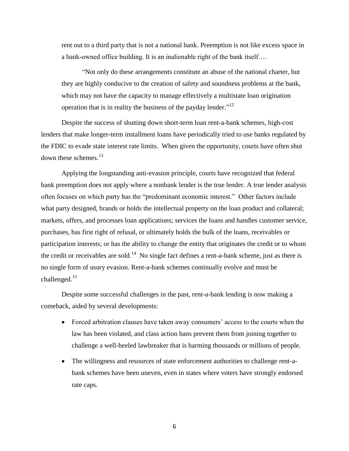rent out to a third party that is not a national bank. Preemption is not like excess space in a bank-owned office building. It is an inalienable right of the bank itself….

―Not only do these arrangements constitute an abuse of the national charter, but they are highly conducive to the creation of safety and soundness problems at the bank, which may not have the capacity to manage effectively a multistate loan origination operation that is in reality the business of the payday lender."<sup>12</sup>

Despite the success of shutting down short-term loan rent-a-bank schemes, high-cost lenders that make longer-term installment loans have periodically tried to use banks regulated by the FDIC to evade state interest rate limits. When given the opportunity, courts have often shut down these schemes. $^{13}$ 

Applying the longstanding anti-evasion principle, courts have recognized that federal bank preemption does not apply where a nonbank lender is the true lender. A true lender analysis often focuses on which party has the "predominant economic interest." Other factors include what party designed, brands or holds the intellectual property on the loan product and collateral; markets, offers, and processes loan applications; services the loans and handles customer service, purchases, has first right of refusal, or ultimately holds the bulk of the loans, receivables or participation interests; or has the ability to change the entity that originates the credit or to whom the credit or receivables are sold.<sup>14</sup> No single fact defines a rent-a-bank scheme, just as there is no single form of usury evasion. Rent-a-bank schemes continually evolve and must be challenged.<sup>15</sup>

Despite some successful challenges in the past, rent-a-bank lending is now making a comeback, aided by several developments:

- Forced arbitration clauses have taken away consumers' access to the courts when the law has been violated, and class action bans prevent them from joining together to challenge a well-heeled lawbreaker that is harming thousands or millions of people.
- The willingness and resources of state enforcement authorities to challenge rent-abank schemes have been uneven, even in states where voters have strongly endorsed rate caps.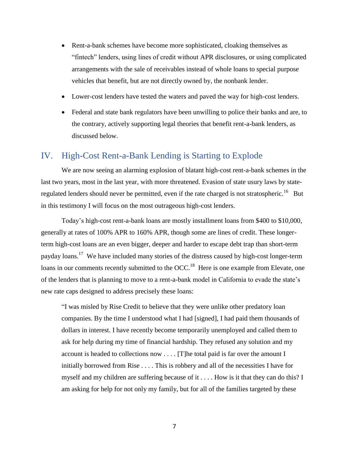- Rent-a-bank schemes have become more sophisticated, cloaking themselves as "fintech" lenders, using lines of credit without APR disclosures, or using complicated arrangements with the sale of receivables instead of whole loans to special purpose vehicles that benefit, but are not directly owned by, the nonbank lender.
- Lower-cost lenders have tested the waters and paved the way for high-cost lenders.
- Federal and state bank regulators have been unwilling to police their banks and are, to the contrary, actively supporting legal theories that benefit rent-a-bank lenders, as discussed below.

#### IV. High-Cost Rent-a-Bank Lending is Starting to Explode

We are now seeing an alarming explosion of blatant high-cost rent-a-bank schemes in the last two years, most in the last year, with more threatened. Evasion of state usury laws by stateregulated lenders should never be permitted, even if the rate charged is not stratospheric.<sup>16</sup> But in this testimony I will focus on the most outrageous high-cost lenders.

Today's high-cost rent-a-bank loans are mostly installment loans from \$400 to \$10,000, generally at rates of 100% APR to 160% APR, though some are lines of credit. These longerterm high-cost loans are an even bigger, deeper and harder to escape debt trap than short-term payday loans.<sup>17</sup> We have included many stories of the distress caused by high-cost longer-term loans in our comments recently submitted to the OCC.<sup>18</sup> Here is one example from Elevate, one of the lenders that is planning to move to a rent-a-bank model in California to evade the state's new rate caps designed to address precisely these loans:

"I was misled by Rise Credit to believe that they were unlike other predatory loan companies. By the time I understood what I had [signed], I had paid them thousands of dollars in interest. I have recently become temporarily unemployed and called them to ask for help during my time of financial hardship. They refused any solution and my account is headed to collections now . . . . [T]he total paid is far over the amount I initially borrowed from Rise . . . . This is robbery and all of the necessities I have for myself and my children are suffering because of it . . . . How is it that they can do this? I am asking for help for not only my family, but for all of the families targeted by these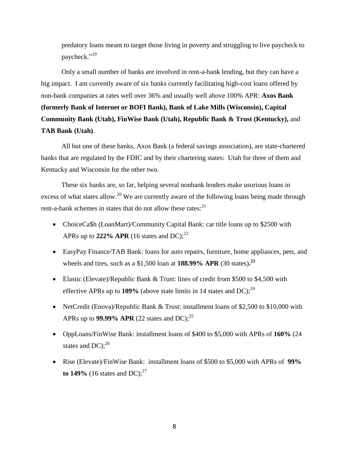predatory loans meant to target those living in poverty and struggling to live paycheck to paycheck."<sup>19</sup>

Only a small number of banks are involved in rent-a-bank lending, but they can have a big impact. I am currently aware of six banks currently facilitating high-cost loans offered by non-bank companies at rates well over 36% and usually well above 100% APR: **Axos Bank (formerly Bank of Internet or BOFI Bank), Bank of Lake Mills (Wisconsin), Capital Community Bank (Utah), FinWise Bank (Utah), Republic Bank & Trust (Kentucky),** and **TAB Bank (Utah)**.

All but one of these banks, Axos Bank (a federal savings association), are state-chartered banks that are regulated by the FDIC and by their chartering states: Utah for three of them and Kentucky and Wisconsin for the other two.

These six banks are, so far, helping several nonbank lenders make usurious loans in excess of what states allow.<sup>20</sup> We are currently aware of the following loans being made through rent-a-bank schemes in states that do not allow these rates: $^{21}$ 

- ChoiceCa\$h (LoanMart)/Community Capital Bank: car title loans up to \$2500 with APRs up to 222% APR (16 states and DC);<sup>22</sup>
- EasyPay Finance/TAB Bank: loans for auto repairs, furniture, home appliances, pets, and wheels and tires, such as a \$1,500 loan at **188.99% APR** (30 states)**. 23**
- Elastic (Elevate)/Republic Bank & Trust: lines of credit from \$500 to \$4,500 with effective APRs up to 109% (above state limits in 14 states and DC);<sup>24</sup>
- NetCredit (Enova)/Republic Bank & Trust: installment loans of \$2,500 to \$10,000 with APRs up to **99.99% APR** (22 states and DC); 25
- OppLoans/FinWise Bank: installment loans of \$400 to \$5,000 with APRs of **160%** (24 states and  $DC$ );<sup>26</sup>
- Rise (Elevate)/FinWise Bank: installment loans of \$500 to \$5,000 with APRs of **99% to 149%** (16 states and DC);<sup>27</sup>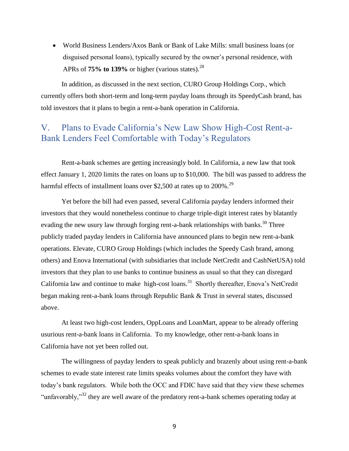World Business Lenders/Axos Bank or Bank of Lake Mills: small business loans (or disguised personal loans), typically secured by the owner's personal residence, with APRs of **75% to 139%** or higher (various states). 28

In addition, as discussed in the next section, CURO Group Holdings Corp., which currently offers both short-term and long-term payday loans through its SpeedyCash brand, has told investors that it plans to begin a rent-a-bank operation in California.

## V. Plans to Evade California's New Law Show High-Cost Rent-a-Bank Lenders Feel Comfortable with Today's Regulators

Rent-a-bank schemes are getting increasingly bold. In California, a new law that took effect January 1, 2020 limits the rates on loans up to \$10,000. The bill was passed to address the harmful effects of installment loans over \$2,500 at rates up to 200%.<sup>29</sup>

Yet before the bill had even passed, several California payday lenders informed their investors that they would nonetheless continue to charge triple-digit interest rates by blatantly evading the new usury law through forging rent-a-bank relationships with banks.<sup>30</sup> Three publicly traded payday lenders in California have announced plans to begin new rent-a-bank operations. Elevate, CURO Group Holdings (which includes the Speedy Cash brand, among others) and Enova International (with subsidiaries that include NetCredit and CashNetUSA) told investors that they plan to use banks to continue business as usual so that they can disregard California law and continue to make high-cost loans.<sup>31</sup> Shortly thereafter, Enova's NetCredit began making rent-a-bank loans through Republic Bank & Trust in several states, discussed above.

At least two high-cost lenders, OppLoans and LoanMart, appear to be already offering usurious rent-a-bank loans in California. To my knowledge, other rent-a-bank loans in California have not yet been rolled out.

The willingness of payday lenders to speak publicly and brazenly about using rent-a-bank schemes to evade state interest rate limits speaks volumes about the comfort they have with today's bank regulators. While both the OCC and FDIC have said that they view these schemes "unfavorably,"<sup>32</sup> they are well aware of the predatory rent-a-bank schemes operating today at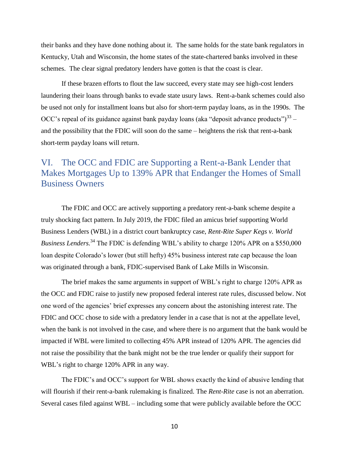their banks and they have done nothing about it. The same holds for the state bank regulators in Kentucky, Utah and Wisconsin, the home states of the state-chartered banks involved in these schemes. The clear signal predatory lenders have gotten is that the coast is clear.

If these brazen efforts to flout the law succeed, every state may see high-cost lenders laundering their loans through banks to evade state usury laws. Rent-a-bank schemes could also be used not only for installment loans but also for short-term payday loans, as in the 1990s. The OCC's repeal of its guidance against bank payday loans (aka "deposit advance products") $^{33}$  and the possibility that the FDIC will soon do the same – heightens the risk that rent-a-bank short-term payday loans will return.

# VI. The OCC and FDIC are Supporting a Rent-a-Bank Lender that Makes Mortgages Up to 139% APR that Endanger the Homes of Small Business Owners

The FDIC and OCC are actively supporting a predatory rent-a-bank scheme despite a truly shocking fact pattern. In July 2019, the FDIC filed an amicus brief supporting World Business Lenders (WBL) in a district court bankruptcy case, *Rent-Rite Super Kegs v. World Business Lenders.*<sup>34</sup> The FDIC is defending WBL's ability to charge 120% APR on a \$550,000 loan despite Colorado's lower (but still hefty) 45% business interest rate cap because the loan was originated through a bank, FDIC-supervised Bank of Lake Mills in Wisconsin.

The brief makes the same arguments in support of WBL's right to charge 120% APR as the OCC and FDIC raise to justify new proposed federal interest rate rules, discussed below. Not one word of the agencies' brief expresses any concern about the astonishing interest rate. The FDIC and OCC chose to side with a predatory lender in a case that is not at the appellate level, when the bank is not involved in the case, and where there is no argument that the bank would be impacted if WBL were limited to collecting 45% APR instead of 120% APR. The agencies did not raise the possibility that the bank might not be the true lender or qualify their support for WBL's right to charge 120% APR in any way.

The FDIC's and OCC's support for WBL shows exactly the kind of abusive lending that will flourish if their rent-a-bank rulemaking is finalized. The *Rent-Rite* case is not an aberration. Several cases filed against WBL – including some that were publicly available before the OCC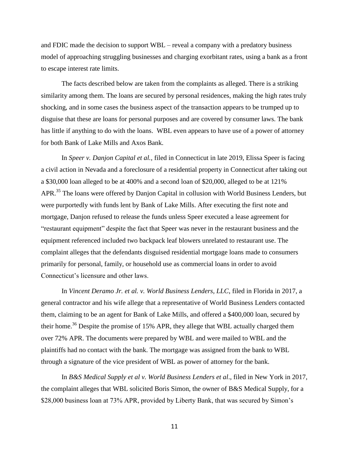and FDIC made the decision to support WBL – reveal a company with a predatory business model of approaching struggling businesses and charging exorbitant rates, using a bank as a front to escape interest rate limits.

The facts described below are taken from the complaints as alleged. There is a striking similarity among them. The loans are secured by personal residences, making the high rates truly shocking, and in some cases the business aspect of the transaction appears to be trumped up to disguise that these are loans for personal purposes and are covered by consumer laws. The bank has little if anything to do with the loans. WBL even appears to have use of a power of attorney for both Bank of Lake Mills and Axos Bank.

In *Speer v. Danjon Capital et al.,* filed in Connecticut in late 2019, Elissa Speer is facing a civil action in Nevada and a foreclosure of a residential property in Connecticut after taking out a \$30,000 loan alleged to be at 400% and a second loan of \$20,000, alleged to be at 121% APR.<sup>35</sup> The loans were offered by Danjon Capital in collusion with World Business Lenders, but were purportedly with funds lent by Bank of Lake Mills. After executing the first note and mortgage, Danjon refused to release the funds unless Speer executed a lease agreement for ―restaurant equipment‖ despite the fact that Speer was never in the restaurant business and the equipment referenced included two backpack leaf blowers unrelated to restaurant use. The complaint alleges that the defendants disguised residential mortgage loans made to consumers primarily for personal, family, or household use as commercial loans in order to avoid Connecticut's licensure and other laws.

In *Vincent Deramo Jr. et al. v. World Business Lenders, LLC*, filed in Florida in 2017, a general contractor and his wife allege that a representative of World Business Lenders contacted them, claiming to be an agent for Bank of Lake Mills, and offered a \$400,000 loan, secured by their home.<sup>36</sup> Despite the promise of 15% APR, they allege that WBL actually charged them over 72% APR. The documents were prepared by WBL and were mailed to WBL and the plaintiffs had no contact with the bank. The mortgage was assigned from the bank to WBL through a signature of the vice president of WBL as power of attorney for the bank.

In *B&S Medical Supply et al v. World Business Lenders et al*., filed in New York in 2017, the complaint alleges that WBL solicited Boris Simon, the owner of B&S Medical Supply, for a \$28,000 business loan at 73% APR, provided by Liberty Bank, that was secured by Simon's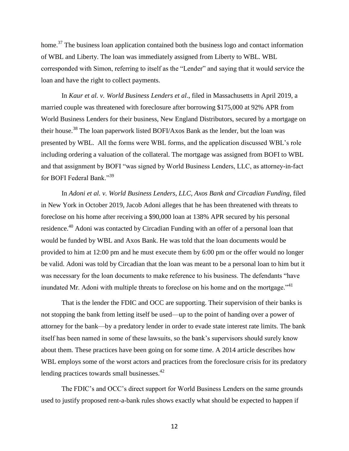home.<sup>37</sup> The business loan application contained both the business logo and contact information of WBL and Liberty. The loan was immediately assigned from Liberty to WBL. WBL corresponded with Simon, referring to itself as the "Lender" and saying that it would service the loan and have the right to collect payments.

In *Kaur et al. v. World Business Lenders et al*., filed in Massachusetts in April 2019, a married couple was threatened with foreclosure after borrowing \$175,000 at 92% APR from World Business Lenders for their business, New England Distributors, secured by a mortgage on their house.<sup>38</sup> The loan paperwork listed BOFI/Axos Bank as the lender, but the loan was presented by WBL. All the forms were WBL forms, and the application discussed WBL's role including ordering a valuation of the collateral. The mortgage was assigned from BOFI to WBL and that assignment by BOFI "was signed by World Business Lenders, LLC, as attorney-in-fact for BOFI Federal Bank."<sup>39</sup>

In *Adoni et al. v. World Business Lenders, LLC, Axos Bank and Circadian Funding,* filed in New York in October 2019, Jacob Adoni alleges that he has been threatened with threats to foreclose on his home after receiving a \$90,000 loan at 138% APR secured by his personal residence.<sup>40</sup> Adoni was contacted by Circadian Funding with an offer of a personal loan that would be funded by WBL and Axos Bank. He was told that the loan documents would be provided to him at 12:00 pm and he must execute them by 6:00 pm or the offer would no longer be valid. Adoni was told by Circadian that the loan was meant to be a personal loan to him but it was necessary for the loan documents to make reference to his business. The defendants "have inundated Mr. Adoni with multiple threats to foreclose on his home and on the mortgage.<sup> $341$ </sup>

That is the lender the FDIC and OCC are supporting. Their supervision of their banks is not stopping the bank from letting itself be used—up to the point of handing over a power of attorney for the bank—by a predatory lender in order to evade state interest rate limits. The bank itself has been named in some of these lawsuits, so the bank's supervisors should surely know about them. These practices have been going on for some time. A 2014 article describes how WBL employs some of the worst actors and practices from the foreclosure crisis for its predatory lending practices towards small businesses.<sup>42</sup>

The FDIC's and OCC's direct support for World Business Lenders on the same grounds used to justify proposed rent-a-bank rules shows exactly what should be expected to happen if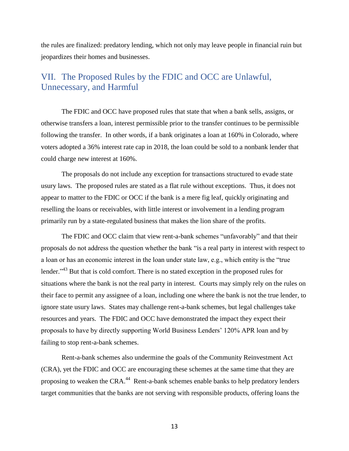the rules are finalized: predatory lending, which not only may leave people in financial ruin but jeopardizes their homes and businesses.

## VII. The Proposed Rules by the FDIC and OCC are Unlawful, Unnecessary, and Harmful

The FDIC and OCC have proposed rules that state that when a bank sells, assigns, or otherwise transfers a loan, interest permissible prior to the transfer continues to be permissible following the transfer. In other words, if a bank originates a loan at 160% in Colorado, where voters adopted a 36% interest rate cap in 2018, the loan could be sold to a nonbank lender that could charge new interest at 160%.

The proposals do not include any exception for transactions structured to evade state usury laws. The proposed rules are stated as a flat rule without exceptions. Thus, it does not appear to matter to the FDIC or OCC if the bank is a mere fig leaf, quickly originating and reselling the loans or receivables, with little interest or involvement in a lending program primarily run by a state-regulated business that makes the lion share of the profits.

The FDIC and OCC claim that view rent-a-bank schemes "unfavorably" and that their proposals do not address the question whether the bank ―is a real party in interest with respect to a loan or has an economic interest in the loan under state law, e.g., which entity is the "true lender."<sup>43</sup> But that is cold comfort. There is no stated exception in the proposed rules for situations where the bank is not the real party in interest. Courts may simply rely on the rules on their face to permit any assignee of a loan, including one where the bank is not the true lender, to ignore state usury laws. States may challenge rent-a-bank schemes, but legal challenges take resources and years. The FDIC and OCC have demonstrated the impact they expect their proposals to have by directly supporting World Business Lenders' 120% APR loan and by failing to stop rent-a-bank schemes.

Rent-a-bank schemes also undermine the goals of the Community Reinvestment Act (CRA), yet the FDIC and OCC are encouraging these schemes at the same time that they are proposing to weaken the CRA.<sup>44</sup> Rent-a-bank schemes enable banks to help predatory lenders target communities that the banks are not serving with responsible products, offering loans the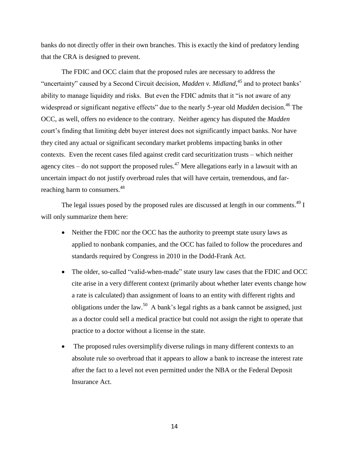banks do not directly offer in their own branches. This is exactly the kind of predatory lending that the CRA is designed to prevent.

The FDIC and OCC claim that the proposed rules are necessary to address the "uncertainty" caused by a Second Circuit decision, *Madden v. Midland*,<sup>45</sup> and to protect banks' ability to manage liquidity and risks. But even the FDIC admits that it "is not aware of any widespread or significant negative effects" due to the nearly 5-year old *Madden* decision.<sup>46</sup> The OCC, as well, offers no evidence to the contrary. Neither agency has disputed the *Madden* court's finding that limiting debt buyer interest does not significantly impact banks. Nor have they cited any actual or significant secondary market problems impacting banks in other contexts. Even the recent cases filed against credit card securitization trusts – which neither agency cites  $-$  do not support the proposed rules.<sup>47</sup> Mere allegations early in a lawsuit with an uncertain impact do not justify overbroad rules that will have certain, tremendous, and farreaching harm to consumers.<sup>48</sup>

The legal issues posed by the proposed rules are discussed at length in our comments.<sup>49</sup> I will only summarize them here:

- Neither the FDIC nor the OCC has the authority to preempt state usury laws as applied to nonbank companies, and the OCC has failed to follow the procedures and standards required by Congress in 2010 in the Dodd-Frank Act.
- The older, so-called "valid-when-made" state usury law cases that the FDIC and OCC cite arise in a very different context (primarily about whether later events change how a rate is calculated) than assignment of loans to an entity with different rights and obligations under the law.<sup>50</sup> A bank's legal rights as a bank cannot be assigned, just as a doctor could sell a medical practice but could not assign the right to operate that practice to a doctor without a license in the state.
- The proposed rules oversimplify diverse rulings in many different contexts to an absolute rule so overbroad that it appears to allow a bank to increase the interest rate after the fact to a level not even permitted under the NBA or the Federal Deposit Insurance Act.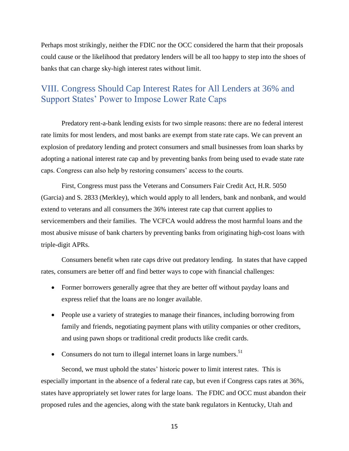Perhaps most strikingly, neither the FDIC nor the OCC considered the harm that their proposals could cause or the likelihood that predatory lenders will be all too happy to step into the shoes of banks that can charge sky-high interest rates without limit.

# VIII. Congress Should Cap Interest Rates for All Lenders at 36% and Support States' Power to Impose Lower Rate Caps

Predatory rent-a-bank lending exists for two simple reasons: there are no federal interest rate limits for most lenders, and most banks are exempt from state rate caps. We can prevent an explosion of predatory lending and protect consumers and small businesses from loan sharks by adopting a national interest rate cap and by preventing banks from being used to evade state rate caps. Congress can also help by restoring consumers' access to the courts.

First, Congress must pass the Veterans and Consumers Fair Credit Act, H.R. 5050 (Garcia) and S. 2833 (Merkley), which would apply to all lenders, bank and nonbank, and would extend to veterans and all consumers the 36% interest rate cap that current applies to servicemembers and their families. The VCFCA would address the most harmful loans and the most abusive misuse of bank charters by preventing banks from originating high-cost loans with triple-digit APRs.

Consumers benefit when rate caps drive out predatory lending. In states that have capped rates, consumers are better off and find better ways to cope with financial challenges:

- Former borrowers generally agree that they are better off without payday loans and express relief that the loans are no longer available.
- People use a variety of strategies to manage their finances, including borrowing from family and friends, negotiating payment plans with utility companies or other creditors, and using pawn shops or traditional credit products like credit cards.
- Consumers do not turn to illegal internet loans in large numbers.<sup>51</sup>

Second, we must uphold the states' historic power to limit interest rates. This is especially important in the absence of a federal rate cap, but even if Congress caps rates at 36%, states have appropriately set lower rates for large loans. The FDIC and OCC must abandon their proposed rules and the agencies, along with the state bank regulators in Kentucky, Utah and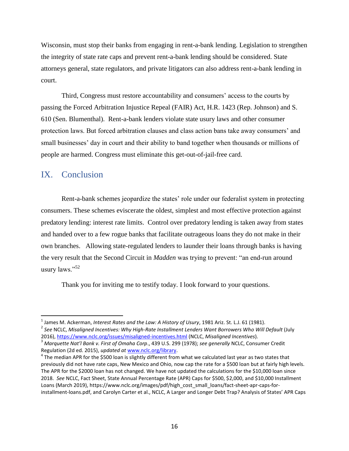Wisconsin, must stop their banks from engaging in rent-a-bank lending. Legislation to strengthen the integrity of state rate caps and prevent rent-a-bank lending should be considered. State attorneys general, state regulators, and private litigators can also address rent-a-bank lending in court.

Third, Congress must restore accountability and consumers' access to the courts by passing the Forced Arbitration Injustice Repeal (FAIR) Act, H.R. 1423 (Rep. Johnson) and S. 610 (Sen. Blumenthal). Rent-a-bank lenders violate state usury laws and other consumer protection laws. But forced arbitration clauses and class action bans take away consumers' and small businesses' day in court and their ability to band together when thousands or millions of people are harmed. Congress must eliminate this get-out-of-jail-free card.

## IX. Conclusion

 $\overline{a}$ 

Rent-a-bank schemes jeopardize the states' role under our federalist system in protecting consumers. These schemes eviscerate the oldest, simplest and most effective protection against predatory lending: interest rate limits. Control over predatory lending is taken away from states and handed over to a few rogue banks that facilitate outrageous loans they do not make in their own branches. Allowing state-regulated lenders to launder their loans through banks is having the very result that the Second Circuit in *Madden* was trying to prevent: "an end-run around usury laws." $52$ 

Thank you for inviting me to testify today. I look forward to your questions.

<sup>1</sup> James M. Ackerman, *Interest Rates and the Law: A History of Usury*, 1981 Ariz. St. L.J. 61 (1981). 2 *See* NCLC, *Misaligned Incentives: Why High-Rate Installment Lenders Want Borrowers Who Will Default* (July 2016),<https://www.nclc.org/issues/misaligned-incentives.html> (NCLC, *Misaligned Incentives*).

<sup>3</sup> *Marquette Nat'l Bank v. First of Omaha Corp*., 439 U.S. 299 (1978); *see generally* NCLC, Consumer Credit Regulation (2d ed. 2015), *updated at* [www.nclc.org/library.](http://www.nclc.org/library) 

 $^4$  The median APR for the \$500 loan is slightly different from what we calculated last year as two states that previously did not have rate caps, New Mexico and Ohio, now cap the rate for a \$500 loan but at fairly high levels. The APR for the \$2000 loan has not changed. We have not updated the calculations for the \$10,000 loan since 2018. *See* NCLC, Fact Sheet, State Annual Percentage Rate (APR) Caps for \$500, \$2,000, and \$10,000 Installment Loans (March 2019), https://www.nclc.org/images/pdf/high\_cost\_small\_loans/fact-sheet-apr-caps-forinstallment-loans.pdf, and Carolyn Carter et al., NCLC, A Larger and Longer Debt Trap? Analysis of States' APR Caps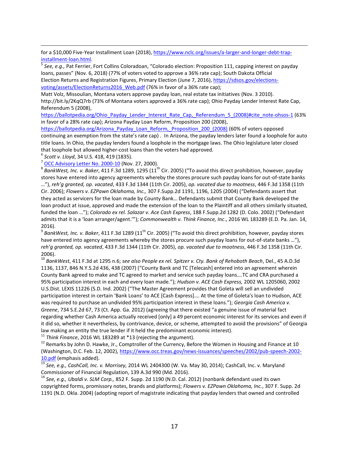for a \$10,000 Five-Year Installment Loan (2018), [https://www.nclc.org/issues/a-larger-and-longer-debt-trap](https://www.nclc.org/issues/a-larger-and-longer-debt-trap-installment-loan.html)[installment-loan.html.](https://www.nclc.org/issues/a-larger-and-longer-debt-trap-installment-loan.html)

5 *See, e.g.,* Pat Ferrier, Fort Collins Coloradoan, "Colorado election: Proposition 111, capping interest on payday loans, passes" (Nov. 6, 2018) (77% of voters voted to approve a 36% rate cap); South Dakota Official Election Returns and Registration Figures, Primary Election (June 7, 2016)[, https://sdsos.gov/elections](https://sdsos.gov/elections-voting/assets/ElectionReturns2016_Web.pdf)voting/assets/ElectionReturns2016 Web.pdf (76% in favor of a 36% rate cap);

Matt Volz, Missoulian, Montana voters approve payday loan, real estate tax initiatives (Nov. 3 2010). http://bit.ly/2KqQ7rb (73% of Montana voters approved a 36% rate cap); Ohio Payday Lender Interest Rate Cap, Referendum 5 (2008),

[https://ballotpedia.org/Ohio\\_Payday\\_Lender\\_Interest\\_Rate\\_Cap,\\_Referendum\\_5\\_\(2008\)#cite\\_note-ohsos-1](https://ballotpedia.org/Ohio_Payday_Lender_Interest_Rate_Cap,_Referendum_5_(2008)#cite_note-ohsos-1) (63% in favor of a 28% rate cap); Arizona Payday Loan Reform, Proposition 200 (2008),

[https://ballotpedia.org/Arizona\\_Payday\\_Loan\\_Reform,\\_Proposition\\_200\\_\(2008\)](https://ballotpedia.org/Arizona_Payday_Loan_Reform,_Proposition_200_(2008)) (60% of voters opposed continuing an exemption from the state's rate cap) . In Arizona, the payday lenders later found a loophole for auto title loans. In Ohio, the payday lenders found a loophole in the mortgage laws. The Ohio legislature later closed that loophole but allowed higher-cost loans than the voters had approved.

6 *Scott v. Lloyd*, 34 U.S. 418, 419 (1835).

 $\overline{a}$ 

<sup>7</sup> [OCC Advisory Letter No. 2000-10](https://occ.gov/news-issuances/advisory-letters/2000/advisory-letter-2000-10.pdf) (Nov. 27, 2000).

<sup>8</sup> BankWest, Inc. v. Baker, 411 F.3d 1289, 1295 (11<sup>th</sup> Cir. 2005) ("To avoid this direct prohibition, however, payday stores have entered into agency agreements whereby the stores procure such payday loans for out-of-state banks …"), *reh'g granted, op. vacated*, 433 F.3d 1344 (11th Cir. 2005), *op. vacated due to mootness*, 446 F.3d 1358 (11th Cir. 2006); *Flowers v. EZPawn Oklahoma, Inc.,* 307 F.Supp.2d 1191, 1196, 1205 (2004) ("Defendants assert that they acted as servicers for the loan made by County Bank… Defendants submit that County Bank developed the loan product at issue, approved and made the extension of the loan to the Plaintiff and all others similarly situated, funded the loan …"); *Colorado ex rel. Salazar v. Ace Cash Express*, 188 F.Supp.2d 1282 (D. Colo. 2002) ("Defendant admits that it is a 'loan arranger/agent.'"); *Commonwealth v. Think Finance, Inc*., 2016 WL 183289 (E.D. Pa. Jan. 14, 2016).

 $^9$  *BankWest, Inc. v. Baker*, 411 F.3d 1289 (11<sup>th</sup> Cir. 2005) ("To avoid this direct prohibition, however, payday stores have entered into agency agreements whereby the stores procure such payday loans for out-of-state banks …"), *reh'g granted, op. vacated*, 433 F.3d 1344 (11th Cir. 2005), *op. vacated due to mootness*, 446 F.3d 1358 (11th Cir. 2006).

<sup>10</sup> *BankWest*, 411 F.3d at 1295 n.6; *see also People ex rel. Spitzer v. Cty. Bank of Rehoboth Beach*, Del., 45 A.D.3d 1136, 1137, 846 N.Y.S.2d 436, 438 (2007) ("County Bank and TC [Telecash] entered into an agreement wherein County Bank agreed to make and TC agreed to market and service such payday loans….TC and CRA purchased a 95% participation interest in each and every loan made."); *Hudson v. ACE Cash Express,* 2002 WL 1205060, 2002 U.S.Dist. LEXIS 11226 (S.D. Ind. 2002) ("The Master Agreement provides that Goleta will sell an undivided participation interest in certain 'Bank Loans' to ACE [Cash Express].... At the time of Goleta's loan to Hudson, ACE was required to purchase an undivided 95% participation interest in these loans."); *Georgia Cash America v. Greene*, 734 S.E.2d 67, 73 (Ct. App. Ga. 2012) (agreeing that there existed "a genuine issue of material fact regarding whether Cash America actually received [only] a 49 percent economic interest for its services and even if it did so, whether it nevertheless, by contrivance, device, or scheme, attempted to avoid the provisions" of Georgia law making an entity the true lender if it held the predominant economic interest).

<sup>11</sup> Think Finance, 2016 WL 183289 at \*13 (rejecting the argument).

<sup>12</sup> Remarks by John D. Hawke, Jr., Comptroller of the Currency, Before the Women in Housing and Finance at 10 (Washington, D.C. Feb. 12, 2002), [https://www.occ.treas.gov/news-issuances/speeches/2002/pub-speech-2002-](https://www.occ.treas.gov/news-issuances/speeches/2002/pub-speech-2002-10.pdf) [10.pdf](https://www.occ.treas.gov/news-issuances/speeches/2002/pub-speech-2002-10.pdf) (emphasis added).

<sup>13</sup> *See, e.g., CashCall, Inc. v. Morrisey,* 2014 WL 2404300 (W. Va. May 30, 2014); CashCall, Inc. v. Maryland Commissioner of Financial Regulation, 139 A.3d 990 (Md. 2016).

<sup>14</sup> *See, e.g., Ubaldi v. SLM Corp.,* 852 F. Supp. 2d 1190 (N.D. Cal. 2012) (nonbank defendant used its own copyrighted forms, promissory notes, brands and platforms); *Flowers v. EZPawn Oklahoma, Inc.*, 307 F. Supp. 2d 1191 (N.D. Okla. 2004) (adopting report of magistrate indicating that payday lenders that owned and controlled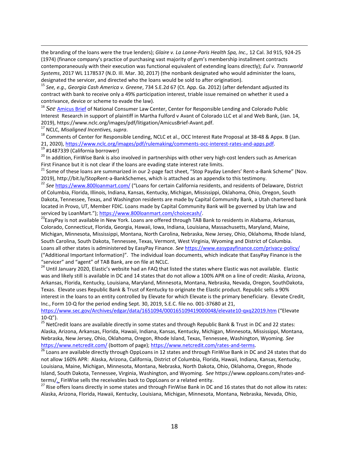the branding of the loans were the true lenders); *Glaire v. La Lanne-Paris Health Spa, Inc.,* 12 Cal. 3d 915, 924-25 (1974) (finance company's practice of purchasing vast majority of gym's membership installment contracts contemporaneously with their execution was functional equivalent of extending loans directly); *Eul v. Transworld Systems*, 2017 WL 1178537 (N.D. Ill. Mar. 30, 2017) (the nonbank designated who would administer the loans, designated the servicer, and directed who the loans would be sold to after origination).

<sup>15</sup> *See, e.g., Georgia Cash America v. Greene*, 734 S.E.2d 67 (Ct. App. Ga. 2012) (after defendant adjusted its contract with bank to receive only a 49% participation interest, triable issue remained on whether it used a contrivance, device or scheme to evade the law).

<sup>16</sup> *See* [Amicus Brief](https://www.nclc.org/images/pdf/litigation/AmicusBrief-Avant.pdf) of National Consumer Law Center, Center for Responsible Lending and Colorado Public Interest Research in support of plaintiff in Martha Fulford v Avant of Colorado LLC et al and Web Bank, (Jan. 14, 2019), https://www.nclc.org/images/pdf/litigation/AmicusBrief-Avant.pdf.

<sup>17</sup> NCLC, *Misaligned Incentives, supra*.

 $\overline{a}$ 

<sup>18</sup> Comments of Center for Responsible Lending, NCLC et al., OCC Interest Rate Proposal at 38-48 & Appx. B (Jan. 21, 2020), [https://www.nclc.org/images/pdf/rulemaking/comments-occ-interest-rates-and-apps.pdf.](https://www.nclc.org/images/pdf/rulemaking/comments-occ-interest-rates-and-apps.pdf) <sup>19</sup> #1487339 (California borrower)

<sup>20</sup> In addition, FinWise Bank is also involved in partnerships with other very high-cost lenders such as American First Finance but it is not clear if the loans are evading state interest rate limits.

<sup>21</sup> Some of these loans are summarized in our 2-page fact sheet, "Stop Payday Lenders' Rent-a-Bank Scheme" (Nov. 2019), http://bit.ly/StopRent-a-BankSchemes, which is attached as an appendix to this testimony.

<sup>22</sup> *See* <https://www.800loanmart.com/> ("Loans for certain California residents, and residents of Delaware, District of Columbia, Florida, Illinois, Indiana, Kansas, Kentucky, Michigan, Mississippi, Oklahoma, Ohio, Oregon, South Dakota, Tennessee, Texas, and Washington residents are made by Capital Community Bank, a Utah chartered bank located in Provo, UT, Member FDIC. Loans made by Capital Community Bank will be governed by Utah law and serviced by LoanMart."); [https://www.800loanmart.com/choicecash/.](https://www.800loanmart.com/choicecash/)

<sup>23</sup>EasyPay is not available in New York. Loans are offered through TAB Bank to residents in Alabama, Arkansas, Colorado, Connecticut, Florida, Georgia, Hawaii, Iowa, Indiana, Louisiana, Massachusetts, Maryland, Maine, Michigan, Minnesota, Mississippi, Montana, North Carolina, Nebraska, New Jersey, Ohio, Oklahoma, Rhode Island, South Carolina, South Dakota, Tennessee, Texas, Vermont, West Virginia, Wyoming and District of Columbia. Loans all other states is administered by EasyPay Finance. *See* <https://www.easypayfinance.com/privacy-policy/> ("Additional Important Information)". The individual loan documents, which indicate that EasyPay Finance is the "servicer" and "agent" of TAB Bank, are on file at NCLC.

<sup>24</sup> Until January 2020, Elastic's website had an FAQ that listed the states where Elastic was not available. Elastic was and likely still is available in DC and 14 states that do not allow a 100% APR on a line of credit: Alaska, Arizona, Arkansas, Florida, Kentucky, Louisiana, Maryland, Minnesota, Montana, Nebraska, Nevada, Oregon, SouthDakota, Texas. Elevate uses Republic Bank & Trust of Kentucky to originate the Elastic product. Republic sells a 90% interest in the loans to an entity controlled by Elevate for which Elevate is the primary beneficiary. Elevate Credit, Inc., Form 10-Q for the period ending Sept. 30, 2019, S.E.C. file no. 001-37680 at 21,

<https://www.sec.gov/Archives/edgar/data/1651094/000165109419000048/elevate10-qxq22019.htm> ("Elevate 10-Q").

 $^{25}$  NetCredit loans are available directly in some states and through Republic Bank & Trust in DC and 22 states: Alaska, Arizona, Arkansas, Florida, Hawaii, Indiana, Kansas, Kentucky, Michigan, Minnesota, Mississippi, Montana, Nebraska, New Jersey, Ohio, Oklahoma, Oregon, Rhode Island, Texas, Tennessee, Washington, Wyoming. *See* <https://www.netcredit.com/> (bottom of page); [https://www.netcredit.com/rates-and-terms.](https://www.netcredit.com/rates-and-terms)

<sup>26</sup> Loans are available directly through OppLoans in 12 states and through FinWise Bank in DC and 24 states that do not allow 160% APR: Alaska, Arizona, California, District of Columbia, Florida, Hawaii, Indiana, Kansas, Kentucky, Louisiana, Maine, Michigan, Minnesota, Montana, Nebraska, North Dakota, Ohio, Oklahoma, Oregon, Rhode Island, South Dakota, Tennessee, Virginia, Washington, and Wyoming. S*ee* https://www.opploans.com/rates-andterms/. FinWise sells the receivables back to OppLoans or a related entity.

<sup>27</sup> Rise offers loans directly in some states and through FinWise Bank in DC and 16 states that do not allow its rates: Alaska, Arizona, Florida, Hawaii, Kentucky, Louisiana, Michigan, Minnesota, Montana, Nebraska, Nevada, Ohio,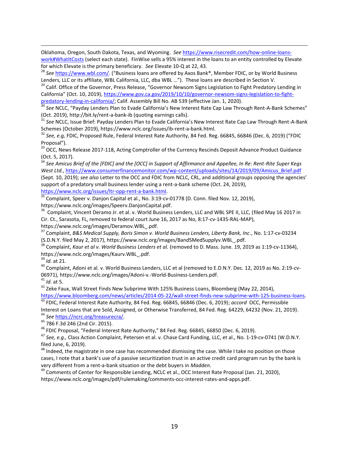Oklahoma, Oregon, South Dakota, Texas, and Wyoming. *See* [https://www.risecredit.com/how-online-loans](https://www.risecredit.com/how-online-loans-work#WhatItCosts)[work#WhatItCosts](https://www.risecredit.com/how-online-loans-work#WhatItCosts) (select each state). FinWise sells a 95% interest in the loans to an entity controlled by Elevate for which Elevate is the primary beneficiary. *See* Elevate 10-Q at 22, 43.

<sup>28</sup> *See* <https://www.wbl.com/>. ("Business loans are offered by Axos Bank®, Member FDIC, or by World Business Lenders, LLC or its affiliate, WBL California, LLC, dba WBL …"). These loans are described in Section V.

<sup>29</sup> Calif. Office of the Governor, Press Release, "Governor Newsom Signs Legislation to Fight Predatory Lending in California" (Oct. 10, 2019), [https://www.gov.ca.gov/2019/10/10/governor-newsom-signs-legislation-to-fight](https://www.gov.ca.gov/2019/10/10/governor-newsom-signs-legislation-to-fight-predatory-lending-in-california/)[predatory-lending-in-california/;](https://www.gov.ca.gov/2019/10/10/governor-newsom-signs-legislation-to-fight-predatory-lending-in-california/) Calif. Assembly Bill No. AB 539 (effective Jan. 1, 2020).

<sup>30</sup> See NCLC, "Payday Lenders Plan to Evade California's New Interest Rate Cap Law Through Rent-A-Bank Schemes" (Oct. 2019), http://bit.ly/rent-a-bank-ib (quoting earnings calls).

<sup>31</sup> *See* NCLC, Issue Brief: Payday Lenders Plan to Evade California's New Interest Rate Cap Law Through Rent-A-Bank Schemes (October 2019), https://www.nclc.org/issues/ib-rent-a-bank.html.

<sup>32</sup> *See, e.g,* FDIC, Proposed Rule, Federal Interest Rate Authority, 84 Fed. Reg. 66845, 66846 (Dec. 6, 2019) ("FDIC Proposal").

<sup>33</sup> OCC, News Release 2017-118, Acting Comptroller of the Currency Rescinds Deposit Advance Product Guidance (Oct. 5, 2017).

<sup>34</sup> *See Amicus Brief of the [FDIC] and the [OCC] in Support of Affirmance and Appellee, In Re: Rent-Rite Super Kegs West Ltd.*, [https://www.consumerfinancemonitor.com/wp-content/uploads/sites/14/2019/09/Amicus\\_Brief.pdf](https://www.consumerfinancemonitor.com/wp-content/uploads/sites/14/2019/09/Amicus_Brief.pdf) (Sept. 10, 2019); *see also* Letter to the OCC and FDIC from NCLC, CRL, and additional groups opposing the agencies' support of a predatory small business lender using a rent-a-bank scheme (Oct. 24, 2019), [https://www.nclc.org/issues/ltr-opp-rent-a-bank.html.](https://www.nclc.org/issues/ltr-opp-rent-a-bank.html)

<sup>35</sup> Complaint, Speer v. Danjon Capital et al., No. 3:19-cv-01778 (D. Conn. filed Nov. 12, 2019),

https://www.nclc.org/images/Speerv.DanjonCapital.pdf.

<sup>36</sup> Complaint, Vincent Deramo Jr. et al. v. World Business Lenders, LLC and WBL SPE II, LLC, (filed May 16 2017 in Cir. Ct., Sarasota, FL, removed to federal court June 16, 2017 as No, 8:17-cv-1435-RAL-MAP),

https://www.nclc.org/images/Deramov.WBL\_.pdf.

<sup>37</sup> Complaint, *B&S Medical Supply, Boris Simon v. World Business Lenders, Liberty Bank, Inc*., No. 1:17-cv-03234 (S.D.N.Y. filed May 2, 2017), https://www.nclc.org/images/BandSMedSupplyv.WBL\_.pdf.

<sup>38</sup> Complaint, *Kaur et al v. World Business Lenders et al.* (removed to D. Mass. June. 19, 2019 as 1:19-cv-11364), https://www.nclc.org/images/Kaurv.WBL\_.pdf.

<sup>39</sup> *Id.* at 21.

 $\overline{a}$ 

<sup>40</sup> Complaint, Adoni et al. v. World Business Lenders, LLC et al (removed to E.D.N.Y. Dec. 12, 2019 as No. 2:19-cv-06971), https://www.nclc.org/images/Adoni-v.-World-Business-Lenders.pdf.

<sup>41</sup> *Id.* at 5.

<sup>42</sup> Zeke Faux, Wall Street Finds New Subprime With 125% Business Loans, Bloomberg (May 22, 2014),

[https://www.bloomberg.com/news/articles/2014-05-22/wall-street-finds-new-subprime-with-125-business-loans.](https://www.bloomberg.com/news/articles/2014-05-22/wall-street-finds-new-subprime-with-125-business-loans) <sup>43</sup> FDIC, Federal Interest Rate Authority, 84 Fed. Reg. 66845, 66846 (Dec. 6, 2019); *accord* OCC, Permissible

Interest on Loans that are Sold, Assigned, or Otherwise Transferred, 84 Fed. Reg. 64229, 64232 (Nov. 21, 2019). <sup>44</sup> *See* [https://ncrc.org/treasurecra/.](https://ncrc.org/treasurecra/)

<sup>45</sup> 786 F.3d 246 (2nd Cir. 2015).

<sup>46</sup> FDIC Proposal, "Federal Interest Rate Authority," 84 Fed. Reg. 66845, 66850 (Dec. 6, 2019).

<sup>47</sup> *See, e.g.,* Class Action Complaint, Petersen et al. v. Chase Card Funding, LLC, et al., No. 1-19-cv-0741 (W.D.N.Y. filed June, 6, 2019).

<sup>48</sup> Indeed, the magistrate in one case has recommended dismissing the case. While I take no position on those cases, I note that a bank's use of a passive securitization trust in an active credit card program run by the bank is very different from a rent-a-bank situation or the debt buyers in *Madden.*

<sup>49</sup> Comments of Center for Responsible Lending, NCLC et al., OCC Interest Rate Proposal (Jan. 21, 2020), https://www.nclc.org/images/pdf/rulemaking/comments-occ-interest-rates-and-apps.pdf.